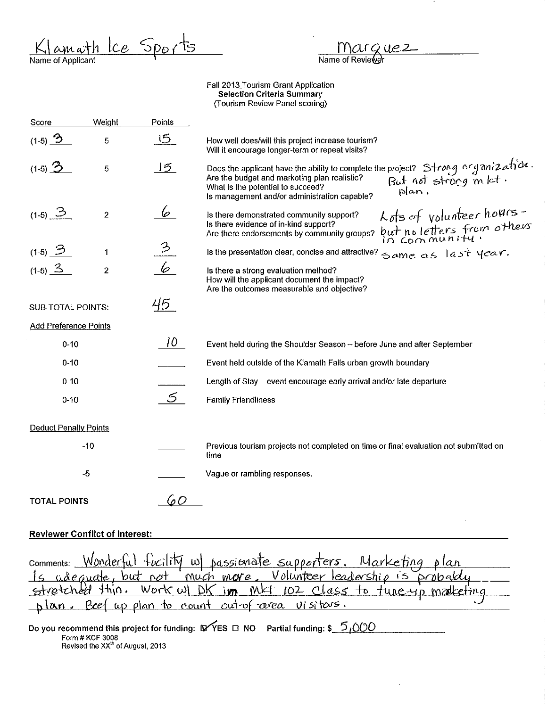Klamath Ice Sports

Marguez<br>Name of Reviewer

 $\bar{1}$ 

 $\mathbf{I}$ 

Fall 2013 Tourism Grant Application Selection Criteria Summary (Tourism Review Panel scoring)

| Score                        | Weight         | Points               |                                                                                                                                                                                                                                                                                                                           |
|------------------------------|----------------|----------------------|---------------------------------------------------------------------------------------------------------------------------------------------------------------------------------------------------------------------------------------------------------------------------------------------------------------------------|
| $(1-5)$ $\overline{2}$       | 5              | 15                   | How well does/will this project increase tourism?<br>Will it encourage longer-term or repeat visits?                                                                                                                                                                                                                      |
| $(1-5)$ $3$                  | 5              | $\overline{5}$       | Does the applicant have the ability to complete the project? Strong organization.<br>Are the budget and marketing plan realistic? $\begin{array}{c} \text{But} \text{not} \text{strong} \text{not} \text{div}. \end{array}$<br>What is the potential to succeed?<br>plan.<br>Is management and/or administration capable? |
| (1-5) $\Im$                  | $\overline{2}$ | 6                    | Lots of volunteer hours-<br>Is there demonstrated community support?<br>Is there evidence of in-kind support?<br>but no letters from others<br>Are there endorsements by community groups?                                                                                                                                |
| $(1-5)$ $2$                  | 1              | $\stackrel{3}{\geq}$ | Is the presentation clear, concise and attractive? $\leq$ ame as $1a$ st $1e$ are.                                                                                                                                                                                                                                        |
| $(1-5)$ $3$                  | $\overline{2}$ | 6                    | Is there a strong evaluation method?<br>How will the applicant document the impact?<br>Are the outcomes measurable and objective?                                                                                                                                                                                         |
| <b>SUB-TOTAL POINTS:</b>     |                | 45                   |                                                                                                                                                                                                                                                                                                                           |
| <b>Add Preference Points</b> |                |                      |                                                                                                                                                                                                                                                                                                                           |
| $0 - 10$                     |                | 10-                  | Event held during the Shoulder Season - before June and after September                                                                                                                                                                                                                                                   |
| $0 - 10$                     |                |                      | Event held outside of the Klamath Falls urban growth boundary                                                                                                                                                                                                                                                             |
| $0 - 10$                     |                |                      | Length of Stay - event encourage early arrival and/or late departure                                                                                                                                                                                                                                                      |
| $0 - 10$                     |                | 5                    | <b>Family Friendliness</b>                                                                                                                                                                                                                                                                                                |
| <b>Deduct Penalty Points</b> |                |                      |                                                                                                                                                                                                                                                                                                                           |
|                              | $-10$          |                      | Previous tourism projects not completed on time or final evaluation not submitted on<br>time                                                                                                                                                                                                                              |
| $-5$                         |                |                      | Vague or rambling responses.                                                                                                                                                                                                                                                                                              |
| <b>TOTAL POINTS</b>          |                | $\Omega$             |                                                                                                                                                                                                                                                                                                                           |

# Reviewer Conflict of Interest:

| comments: Wonderful fucility w passionate supporters. Marketing plan |  |
|----------------------------------------------------------------------|--|
|                                                                      |  |
| Is adequate, but not much more. Volunteer leadership is probably.    |  |
| plan. Beef up plan to count out-of-area visitors.                    |  |

Do you recommend this project for funding:  $\mathsf{DY}$ ES D NO Partial funding: \$  $\frac{\mathsf{S}}{\mathsf{D}}\mathsf{O}\mathsf{O}\mathsf{O}$   $\mathsf{P}$  . Revised the XX<sup>II</sup> of August, 2013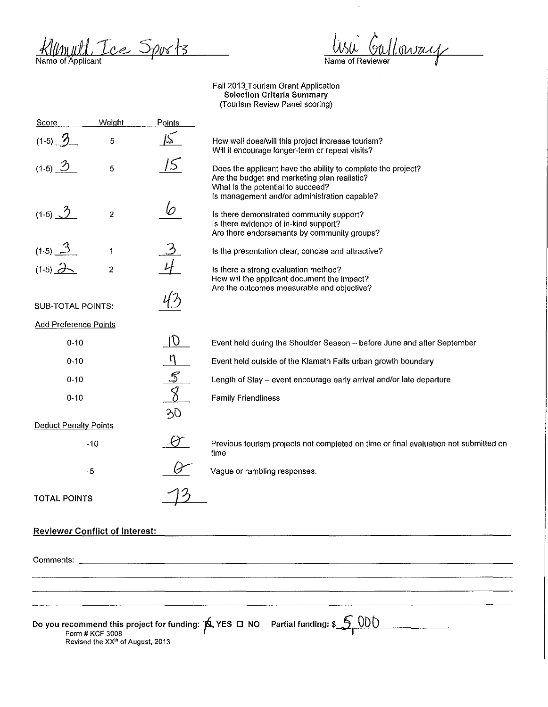Klumull Tree Sports

lisi Galloway Name of Reviewer

 $\ddot{\phantom{0}}$ 

Fall 2013\_Tourism Grant Application Selection Criteria Summary (Tourism Review Panel scoring)

| Score                                 | Weight                                                          | Points                   |                                                                                                                                                                                                   |
|---------------------------------------|-----------------------------------------------------------------|--------------------------|---------------------------------------------------------------------------------------------------------------------------------------------------------------------------------------------------|
| $(1-5)$ $\frac{3}{2}$                 | 5                                                               |                          | How well does/will this project increase tourism?<br>Will it encourage longer-term or repeat visits?                                                                                              |
| $(1-5)$ $\frac{3}{2}$                 | 5                                                               |                          | Does the applicant have the ability to complete the project?<br>Are the budget and marketing plan realistic?<br>What is the potential to succeed?<br>Is management and/or administration capable? |
| $(1-5)$ $2$                           | $\overline{2}$                                                  | 6                        | Is there demonstrated community support?<br>Is there evidence of in-kind support?<br>Are there endorsements by community groups?                                                                  |
| $(1-5)$ $\frac{3}{2}$                 | $\mathbf{1}$                                                    |                          | Is the presentation clear, concise and attractive?                                                                                                                                                |
| $(1-5)$ $2$                           | $\overline{a}$                                                  |                          | Is there a strong evaluation method?<br>How will the applicant document the impact?<br>Are the outcomes measurable and objective?                                                                 |
| <b>SUB-TOTAL POINTS:</b>              |                                                                 |                          |                                                                                                                                                                                                   |
| <b>Add Preference Points</b>          |                                                                 |                          |                                                                                                                                                                                                   |
| $0 - 10$                              |                                                                 | $ 0\rangle$              | Event held during the Shoulder Season - before June and after September                                                                                                                           |
| $0 - 10$                              |                                                                 | n                        | Event held outside of the Klamath Falls urban growth boundary                                                                                                                                     |
| $0 - 10$                              |                                                                 | $\mathcal{S}$            | Length of Stay - event encourage early arrival and/or late departure                                                                                                                              |
| $0 - 10$                              |                                                                 | $\overline{\mathcal{S}}$ | <b>Family Friendliness</b>                                                                                                                                                                        |
| <b>Deduct Penalty Points</b>          |                                                                 | 30                       |                                                                                                                                                                                                   |
|                                       | $-10$                                                           |                          | Previous tourism projects not completed on time or final evaluation not submitted on<br>time                                                                                                      |
|                                       | $-5$                                                            |                          | Vague or rambling responses.                                                                                                                                                                      |
| <b>TOTAL POINTS</b>                   |                                                                 |                          |                                                                                                                                                                                                   |
| <b>Reviewer Conflict of Interest:</b> |                                                                 |                          |                                                                                                                                                                                                   |
|                                       |                                                                 |                          |                                                                                                                                                                                                   |
|                                       |                                                                 |                          |                                                                                                                                                                                                   |
|                                       |                                                                 |                          |                                                                                                                                                                                                   |
|                                       | Form # KCF 3008<br>Revised the XX <sup>Ih</sup> of August, 2013 |                          | Do you recommend this project for funding: $\overline{p}$ , YES $\Box$ NO Partial funding: \$                                                                                                     |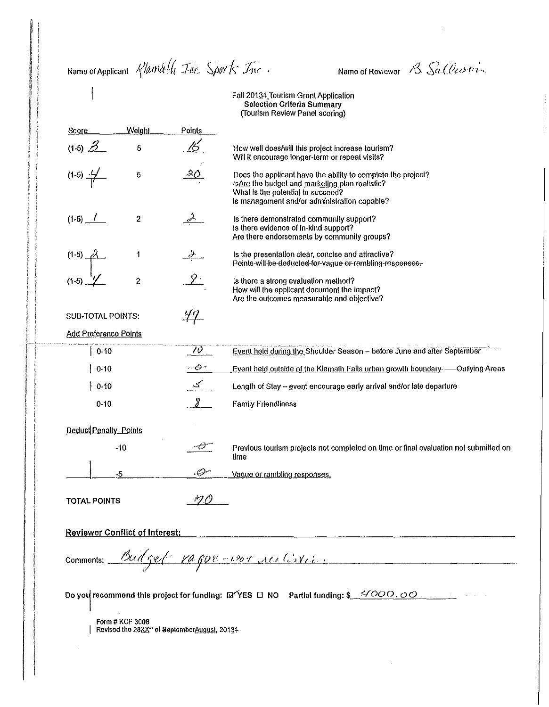Name of Applicant Klamally Tee. Sports Inc.

Name of Reviewer B Sallesoin

Fall 20134 Tourism Grant Application **Selection Criteria Summary** (Tourism Review Panel scoring)

Weight Score Points (1-5)  $\frac{3}{2}$ 16  $\overline{6}$ How well does/will this project increase tourism? Will it encourage longer-term or repeat visits?  $(1-5)$   $\frac{1}{1}$ Does the applicant have the ability to complete the project? 5 Is Are the budget and marketing plan realistic? What is the potential to succeed? Is management and/or administration capable?  $(1-5)$   $-1$  $\overline{2}$ Is there demonstrated community support? Is there evidence of in-kind support? Are there endorsements by community groups?  $(1-5)$   $-a$ 1 Is the presentation clear, concise and attractive? Points-will-be-deducted-for-vague or rambling-responses- $\mathcal{L}$  $\boldsymbol{2}$ Is there a strong evaluation method?  $(1-5)$ How will the applicant document the impact? Are the outcomes measurable and objective? <u>47.</u> **SUB-TOTAL POINTS:** Add Preference Points  $\overline{\mathcal{W}}$ | 0-10 Event held during the Shoulder Season - before June and after September  $-$  0  $^{\circ}$  $|0.10$ Event held outside of the Klamath Falls urban growth boundary. - Outlying Areas ے۔ Length of Stay - event encourage early arrival and/or late departure  $0.10$  $\chi$  $0 - 10$ **Family Friendliness** Deduct Penalty - Points  $\sigma$  $-10$ Previous tourism projects not completed on time or final evaluation not submitted on time  $\mathcal{O}$ 5 Vague or rambling responses. 70 - *1* **TOTAL POINTS Reviewer Conflict of Interest:** Budget vague-vor autoris. Comments: Do you recommend this project for funding:  $\mathbb{E} \check{\mathsf{Y}}$ ES  $\Box$  NO Partial funding: \$  $\Box$   $\Diamond$   $OOO$ ,  $\Diamond$   $\Diamond$ Form # KCF 3008 Revised the 28XX<sup>th</sup> of SeptemberAugust, 20134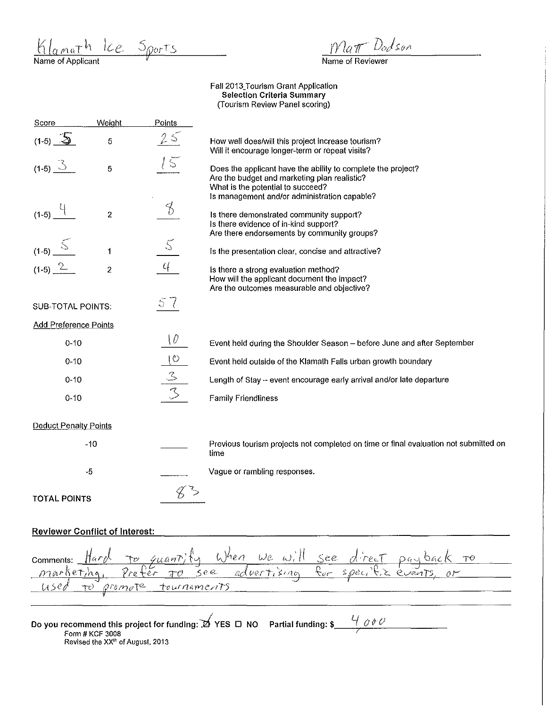$K_{\alpha \text{ matrix}}$   $h_{\alpha \text{ matrix}}$  Sports

Matt Dodson

Name of Reviewer

Faii2013\_Tourism Grant Application Selection Criteria Summary (Tourism Review Panel scoring)

| Score                         | Weight                  | Points                   |                                                                                                                                                                                                   |
|-------------------------------|-------------------------|--------------------------|---------------------------------------------------------------------------------------------------------------------------------------------------------------------------------------------------|
| $(1-5)$ $\overline{\text{2}}$ | 5                       | 2s                       | How well does/will this project increase tourism?<br>Will it encourage longer-term or repeat visits?                                                                                              |
| $(1-5)$ $\Im$                 | 5                       |                          | Does the applicant have the ability to complete the project?<br>Are the budget and marketing plan realistic?<br>What is the potential to succeed?<br>Is management and/or administration capable? |
| $(1-5)$ $-$                   | $\overline{\mathbf{c}}$ | Š                        | Is there demonstrated community support?<br>Is there evidence of in-kind support?<br>Are there endorsements by community groups?                                                                  |
| $(1-5)$                       | $\mathbf 1$             | $\zeta$                  | Is the presentation clear, concise and attractive?                                                                                                                                                |
| $(1-5)$ $2$                   | $\overline{c}$          | $\mathcal{U}_\mathbf{t}$ | is there a strong evaluation method?<br>How will the applicant document the impact?<br>Are the outcomes measurable and objective?                                                                 |
| SUB-TOTAL POINTS:             |                         | 5<                       |                                                                                                                                                                                                   |
| <b>Add Preference Points</b>  |                         |                          |                                                                                                                                                                                                   |
| $0 - 10$                      |                         | $\{ \theta$              | Event held during the Shoulder Season - before June and after September                                                                                                                           |
| $0 - 10$                      |                         | $\overline{\mathcal{O}}$ | Event held outside of the Klamath Falls urban growth boundary                                                                                                                                     |
| $0 - 10$                      |                         | $rac{3}{3}$              | Length of Stay -- event encourage early arrival and/or late departure                                                                                                                             |
| $0 - 10$                      |                         |                          | <b>Family Friendliness</b>                                                                                                                                                                        |
| <b>Deduct Penalty Points</b>  |                         |                          |                                                                                                                                                                                                   |
|                               | $-10$                   |                          | Previous tourism projects not completed on time or final evaluation not submitted on<br>time                                                                                                      |
|                               | -5                      |                          | Vague or rambling responses.                                                                                                                                                                      |
| <b>TOTAL POINTS</b>           |                         |                          |                                                                                                                                                                                                   |

# Reviewer Conflict of Interest:

|  |                        |  |  | comments: Hard to quantity When we will see direct payback to |  |
|--|------------------------|--|--|---------------------------------------------------------------|--|
|  |                        |  |  | marketing, Prefer To see advertising for specific events, or  |  |
|  | to promote tournaments |  |  |                                                               |  |
|  |                        |  |  |                                                               |  |

Do you recommend this project for funding: , ⊿ YES<br>Form # KCF 3008  $\Box$  NO Partial funding: \$ $\frac{U}{\Box}$  of  $\theta$ **Revised the XX<sup>1</sup> h of August, 2013**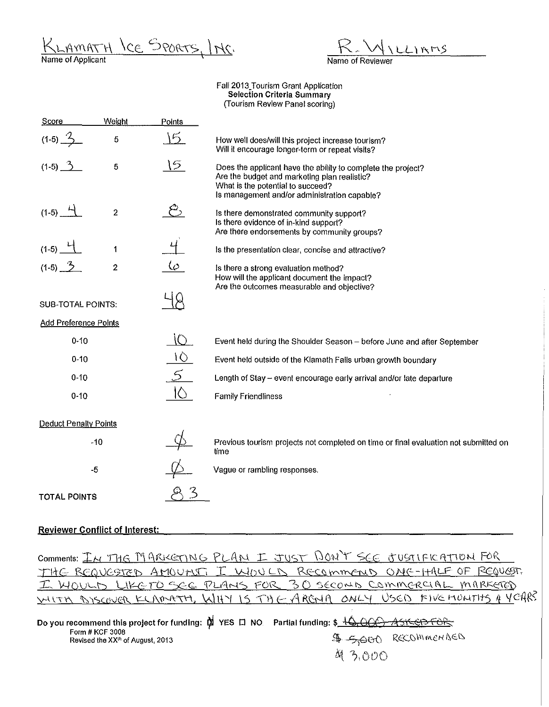AMATH LCE SPORTS, INC. Name of Applicant '

 $L$   $RMS$ 

Name of Reviewer

Fall 2013 Tourism Grant Application Selection Criteria Summary (Tourism Review Panel scoring)

| Score                        | Weight         | Points    |                                                                                                                                                                                                   |
|------------------------------|----------------|-----------|---------------------------------------------------------------------------------------------------------------------------------------------------------------------------------------------------|
| $(1-5)$ $\frac{7}{2}$        | 5              | 5         | How well does/will this project increase tourism?<br>Will it encourage longer-term or repeat visits?                                                                                              |
| $(1-5)$ $\frac{3}{2}$        | 5              | 15        | Does the applicant have the ability to complete the project?<br>Are the budget and marketing plan realistic?<br>What is the potential to succeed?<br>Is management and/or administration capable? |
| $(1-5)$ $-1$                 | $\overline{2}$ |           | Is there demonstrated community support?<br>Is there evidence of in-kind support?<br>Are there endorsements by community groups?                                                                  |
| $(1-5)$                      | 1              |           | Is the presentation clear, concise and attractive?                                                                                                                                                |
| $(1-5)$ $\frac{3}{2}$        | $\overline{2}$ | - صا      | is there a strong evaluation method?<br>How will the applicant document the impact?<br>Are the outcomes measurable and objective?                                                                 |
| <b>SUB-TOTAL POINTS:</b>     |                |           |                                                                                                                                                                                                   |
| <b>Add Preference Points</b> |                |           |                                                                                                                                                                                                   |
| $0 - 10$                     |                | $\bigcap$ | Event held during the Shoulder Season - before June and after September                                                                                                                           |
| $0 - 10$                     |                | ١Ò        | Event held outside of the Klamath Falls urban growth boundary                                                                                                                                     |
| $0 - 10$                     |                |           | Length of Stay - event encourage early arrival and/or late departure                                                                                                                              |
| $0 - 10$                     |                | ÍĈ.       | <b>Family Friendliness</b>                                                                                                                                                                        |
| <b>Deduct Penalty Points</b> |                |           |                                                                                                                                                                                                   |
|                              | $-10$          |           | Previous tourism projects not completed on time or final evaluation not submitted on<br>time                                                                                                      |
| -5                           |                |           | Vague or rambling responses.                                                                                                                                                                      |
| <b>TOTAL POINTS</b>          |                |           |                                                                                                                                                                                                   |

# Reviewer Conflict of Interest:

Comments: IN THE MARKETING PLAN I JUST DON'T SEE JUSTIFICATION FOR THE REQUESTED AMOUNT, I WOULD RECOMMEND ONC-HALF OF REQUEST, I WOULD LIKE TO SEE PLANS FOR 30 SECOND COMMERCIAL MARKETED  $v$ -HTM AISCOVER KLAMATH, WIHY IS THE ARGHA

| Do you recommend this project for funding: $\phi$ YES $\Box$ NO. Partial funding: \$ $\frac{10}{2}$ OCC ASKERS FOR |  |         |                      |
|--------------------------------------------------------------------------------------------------------------------|--|---------|----------------------|
| Form # KCF 3008<br>Revised the XX <sup>th</sup> of August, 2013                                                    |  |         | \$ 5,000 RECOMMENDED |
|                                                                                                                    |  | 9 3.000 |                      |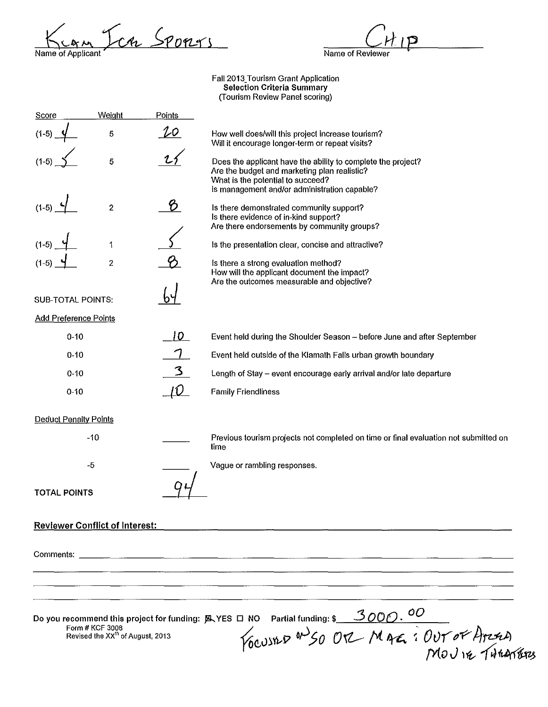Name of Applicant SPOPLYS

D Name of Reviewer

Faii2013\_Tourism Grant Application Selection Criteria Summary (Tourism Review Panel scoring)

| Score                                 | Weight         | Points    |                                                                                                                                                                                                   |
|---------------------------------------|----------------|-----------|---------------------------------------------------------------------------------------------------------------------------------------------------------------------------------------------------|
| $(1-5)$                               | 5              | $20 \,$   | How well does/will this project increase tourism?<br>Will it encourage longer-term or repeat visits?                                                                                              |
|                                       | 5              |           | Does the applicant have the ability to complete the project?<br>Are the budget and marketing plan realistic?<br>What is the potential to succeed?<br>Is management and/or administration capable? |
| $(1-5)$                               | $\overline{2}$ | B.        | Is there demonstrated community support?<br>Is there evidence of in-kind support?<br>Are there endorsements by community groups?                                                                  |
| $(1-5)$                               | 1              |           | Is the presentation clear, concise and attractive?                                                                                                                                                |
| $(1-5)$                               | $\overline{c}$ |           | Is there a strong evaluation method?<br>How will the applicant document the impact?<br>Are the outcomes measurable and objective?                                                                 |
| <b>SUB-TOTAL POINTS:</b>              |                |           |                                                                                                                                                                                                   |
| <b>Add Preference Points</b>          |                |           |                                                                                                                                                                                                   |
| $0 - 10$                              |                |           | Event held during the Shoulder Season - before June and after September                                                                                                                           |
| $0 - 10$                              |                |           | Event held outside of the Klamath Falls urban growth boundary                                                                                                                                     |
| $0 - 10$                              |                |           | Length of Stay - event encourage early arrival and/or late departure                                                                                                                              |
| $0 - 10$                              |                | <u>IQ</u> | <b>Family Friendliness</b>                                                                                                                                                                        |
| <b>Deduct Penalty Points</b>          |                |           |                                                                                                                                                                                                   |
|                                       | $-10$          |           | Previous tourism projects not completed on time or final evaluation not submitted on<br>time                                                                                                      |
|                                       | $-5$           |           | Vague or rambling responses.                                                                                                                                                                      |
| <b>TOTAL POINTS</b>                   |                |           |                                                                                                                                                                                                   |
| <b>Reviewer Conflict of Interest:</b> |                |           |                                                                                                                                                                                                   |
|                                       |                |           |                                                                                                                                                                                                   |
|                                       |                |           |                                                                                                                                                                                                   |
|                                       |                |           |                                                                                                                                                                                                   |
|                                       |                |           | Do you recommend this project for funding: EYES II NO Partial funding: \$ 3000.00<br>Form # KCF 3008<br>Revised the XX <sup>th</sup> of August, 2013<br>MOV 14 THEATERS                           |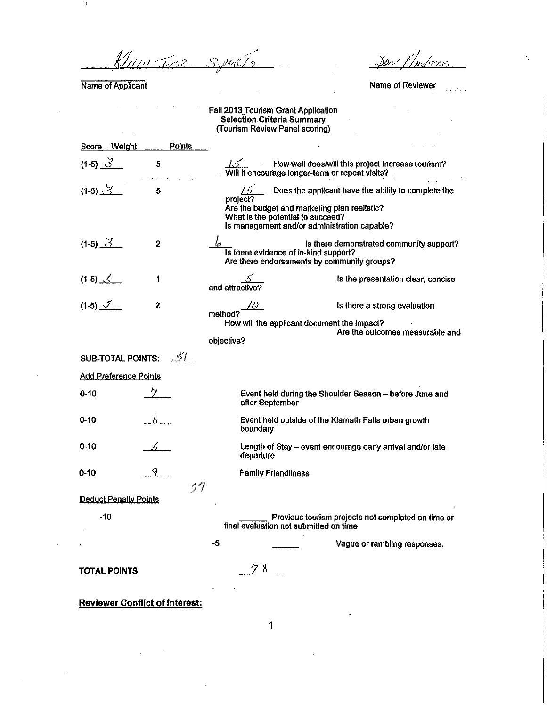Klam Trez  $\overline{\mathcal{S}}$ NOP .<br>Ch

Name of Applicant

 $\sim 10^{11}$  and  $\sim 10^{11}$ 

÷.

 $\mathcal{S}_{\mathcal{D}}$ ker

Ā

Name of Reviewer وأنكار ولاد

 $\mathcal{A}$ 

#### Fall 2013\_Tourism Grant Application **Selection Criteria Summary**  (Tourism Review Panel scoring)

| Score Weight          |                              | Points |                        |                                                                                                 |                                                                                                     |
|-----------------------|------------------------------|--------|------------------------|-------------------------------------------------------------------------------------------------|-----------------------------------------------------------------------------------------------------|
| $(1-5)$ 3             | 5                            |        |                        | $\frac{1}{2}$ How well does will une propose<br>Will it encourage longer-term or repeat visits? | How well does/will this project increase tourism?                                                   |
| $(1-5)$ $\frac{9}{2}$ | 5                            |        | $\sqrt{2}$<br>project? | Are the budget and marketing plan realistic?<br>What is the potential to succeed?               | Does the applicant have the ability to complete the<br>Is management and/or administration capable? |
| $(1-5)$ 3             | $\overline{2}$               |        |                        | Is there evidence of in-kind support?                                                           | Is there demonstrated community support?<br>Are there endorsements by community groups?             |
| $(1-5)$ $\leq$        | 1                            |        | and attractive?        |                                                                                                 | Is the presentation clear, concise                                                                  |
| $(1-5)$ $\checkmark$  | 2                            |        | method?<br>objective?  | How will the applicant document the impact?                                                     | Is there a strong evaluation<br>Are the outcomes measurable and                                     |
|                       | <b>SUB-TOTAL POINTS:</b>     | -51 -  |                        |                                                                                                 |                                                                                                     |
|                       | <b>Add Preference Points</b> |        |                        |                                                                                                 |                                                                                                     |
| $0 - 10$              |                              |        |                        | after September                                                                                 | Event held during the Shoulder Season - before June and                                             |
| $0 - 10$              |                              |        | boundary               |                                                                                                 | Event held outside of the Klamath Falls urban growth                                                |
| 0-10                  |                              |        | departure              |                                                                                                 | Length of Stay - event encourage early arrival and/or late                                          |
| $0 - 10$              |                              | 27     |                        | <b>Family Friendliness</b>                                                                      |                                                                                                     |
|                       | <b>Deduct Penalty Points</b> |        |                        |                                                                                                 |                                                                                                     |
| -10                   |                              |        |                        | final evaluation not submitted on time                                                          | Previous tourism projects not completed on time or                                                  |
|                       |                              |        | -5                     |                                                                                                 | Vague or rambling responses.                                                                        |
| TOTAL POINTS          |                              |        | 8                      |                                                                                                 |                                                                                                     |

**Reviewer Conflict of Interest:**